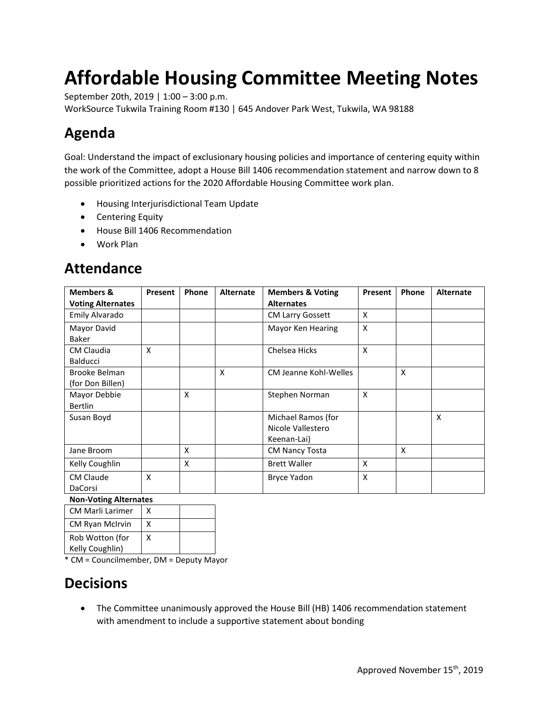# **Affordable Housing Committee Meeting Notes**

September 20th, 2019 | 1:00 – 3:00 p.m.

WorkSource Tukwila Training Room #130 | 645 Andover Park West, Tukwila, WA 98188

# **Agenda**

Goal: Understand the impact of exclusionary housing policies and importance of centering equity within the work of the Committee, adopt a House Bill 1406 recommendation statement and narrow down to 8 possible prioritized actions for the 2020 Affordable Housing Committee work plan.

- Housing Interjurisdictional Team Update
- Centering Equity
- House Bill 1406 Recommendation
- Work Plan

### **Attendance**

| <b>Members &amp;</b>     | <b>Present</b> | Phone | <b>Alternate</b> | <b>Members &amp; Voting</b> | <b>Present</b> | Phone | <b>Alternate</b> |
|--------------------------|----------------|-------|------------------|-----------------------------|----------------|-------|------------------|
| <b>Voting Alternates</b> |                |       |                  | <b>Alternates</b>           |                |       |                  |
| Emily Alvarado           |                |       |                  | <b>CM Larry Gossett</b>     | X              |       |                  |
| Mayor David              |                |       |                  | Mayor Ken Hearing           | X              |       |                  |
| Baker                    |                |       |                  |                             |                |       |                  |
| <b>CM Claudia</b>        | X              |       |                  | Chelsea Hicks               | X              |       |                  |
| <b>Balducci</b>          |                |       |                  |                             |                |       |                  |
| Brooke Belman            |                |       | X                | CM Jeanne Kohl-Welles       |                | X     |                  |
| (for Don Billen)         |                |       |                  |                             |                |       |                  |
| Mayor Debbie             |                | X     |                  | Stephen Norman              | X              |       |                  |
| <b>Bertlin</b>           |                |       |                  |                             |                |       |                  |
| Susan Boyd               |                |       |                  | Michael Ramos (for          |                |       | X                |
|                          |                |       |                  | Nicole Vallestero           |                |       |                  |
|                          |                |       |                  | Keenan-Lai)                 |                |       |                  |
| Jane Broom               |                | X     |                  | <b>CM Nancy Tosta</b>       |                | X     |                  |
| Kelly Coughlin           |                | X     |                  | <b>Brett Waller</b>         | X              |       |                  |
| <b>CM Claude</b>         | X              |       |                  | Bryce Yadon                 | X              |       |                  |
| DaCorsi                  |                |       |                  |                             |                |       |                  |

#### **Non-Voting Alternates**

| <b>CM Marli Larimer</b> | x |  |
|-------------------------|---|--|
| <b>CM Ryan McIrvin</b>  | x |  |
| Rob Wotton (for         | x |  |
| Kelly Coughlin)         |   |  |

\* CM = Councilmember, DM = Deputy Mayor

### **Decisions**

• The Committee unanimously approved the House Bill (HB) 1406 recommendation statement with amendment to include a supportive statement about bonding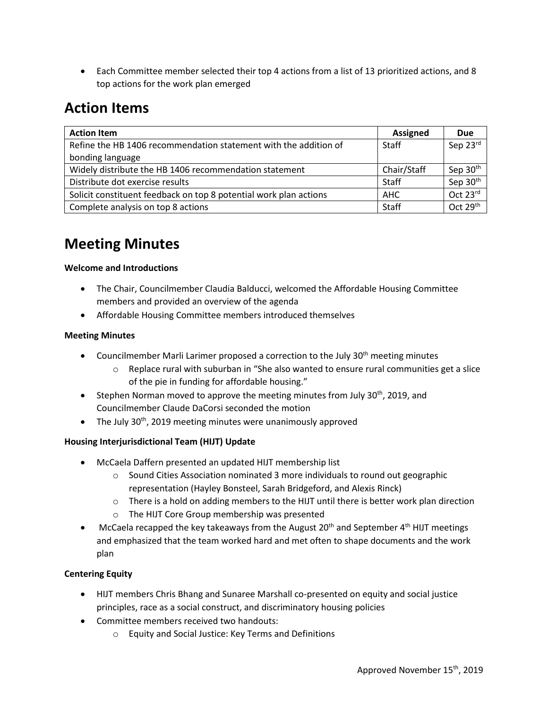• Each Committee member selected their top 4 actions from a list of 13 prioritized actions, and 8 top actions for the work plan emerged

## **Action Items**

| <b>Action Item</b>                                                | <b>Assigned</b> | <b>Due</b>           |
|-------------------------------------------------------------------|-----------------|----------------------|
| Refine the HB 1406 recommendation statement with the addition of  | <b>Staff</b>    | Sep 23rd             |
| bonding language                                                  |                 |                      |
| Widely distribute the HB 1406 recommendation statement            | Chair/Staff     | Sep 30 <sup>th</sup> |
| Distribute dot exercise results                                   | Staff           | Sep 30 <sup>th</sup> |
| Solicit constituent feedback on top 8 potential work plan actions | AHC             | Oct 23rd             |
| Complete analysis on top 8 actions                                | Staff           | Oct 29 <sup>th</sup> |

## **Meeting Minutes**

#### **Welcome and Introductions**

- The Chair, Councilmember Claudia Balducci, welcomed the Affordable Housing Committee members and provided an overview of the agenda
- Affordable Housing Committee members introduced themselves

#### **Meeting Minutes**

- Councilmember Marli Larimer proposed a correction to the July  $30<sup>th</sup>$  meeting minutes
	- o Replace rural with suburban in "She also wanted to ensure rural communities get a slice of the pie in funding for affordable housing."
- Stephen Norman moved to approve the meeting minutes from July 30<sup>th</sup>, 2019, and Councilmember Claude DaCorsi seconded the motion
- The July  $30<sup>th</sup>$ , 2019 meeting minutes were unanimously approved

#### **Housing Interjurisdictional Team (HIJT) Update**

- McCaela Daffern presented an updated HIJT membership list
	- $\circ$  Sound Cities Association nominated 3 more individuals to round out geographic representation (Hayley Bonsteel, Sarah Bridgeford, and Alexis Rinck)
	- $\circ$  There is a hold on adding members to the HIJT until there is better work plan direction
	- o The HIJT Core Group membership was presented
- McCaela recapped the key takeaways from the August  $20<sup>th</sup>$  and September 4<sup>th</sup> HIJT meetings and emphasized that the team worked hard and met often to shape documents and the work plan

#### **Centering Equity**

- HIJT members Chris Bhang and Sunaree Marshall co-presented on equity and social justice principles, race as a social construct, and discriminatory housing policies
- Committee members received two handouts:
	- o Equity and Social Justice: Key Terms and Definitions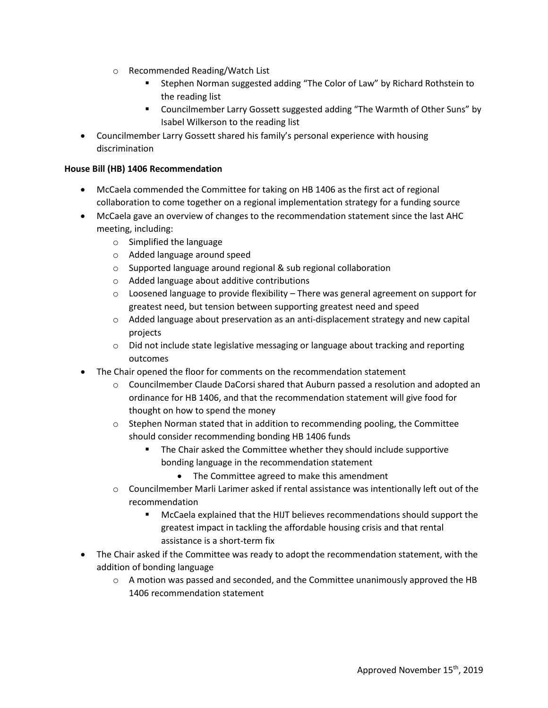- o Recommended Reading/Watch List
	- Stephen Norman suggested adding "The Color of Law" by Richard Rothstein to the reading list
	- Councilmember Larry Gossett suggested adding "The Warmth of Other Suns" by Isabel Wilkerson to the reading list
- Councilmember Larry Gossett shared his family's personal experience with housing discrimination

#### **House Bill (HB) 1406 Recommendation**

- McCaela commended the Committee for taking on HB 1406 as the first act of regional collaboration to come together on a regional implementation strategy for a funding source
- McCaela gave an overview of changes to the recommendation statement since the last AHC meeting, including:
	- o Simplified the language
	- o Added language around speed
	- o Supported language around regional & sub regional collaboration
	- o Added language about additive contributions
	- $\circ$  Loosened language to provide flexibility There was general agreement on support for greatest need, but tension between supporting greatest need and speed
	- $\circ$  Added language about preservation as an anti-displacement strategy and new capital projects
	- $\circ$  Did not include state legislative messaging or language about tracking and reporting outcomes
- The Chair opened the floor for comments on the recommendation statement
	- o Councilmember Claude DaCorsi shared that Auburn passed a resolution and adopted an ordinance for HB 1406, and that the recommendation statement will give food for thought on how to spend the money
	- $\circ$  Stephen Norman stated that in addition to recommending pooling, the Committee should consider recommending bonding HB 1406 funds
		- The Chair asked the Committee whether they should include supportive bonding language in the recommendation statement
			- The Committee agreed to make this amendment
	- $\circ$  Councilmember Marli Larimer asked if rental assistance was intentionally left out of the recommendation
		- McCaela explained that the HIJT believes recommendations should support the greatest impact in tackling the affordable housing crisis and that rental assistance is a short-term fix
- The Chair asked if the Committee was ready to adopt the recommendation statement, with the addition of bonding language
	- $\circ$  A motion was passed and seconded, and the Committee unanimously approved the HB 1406 recommendation statement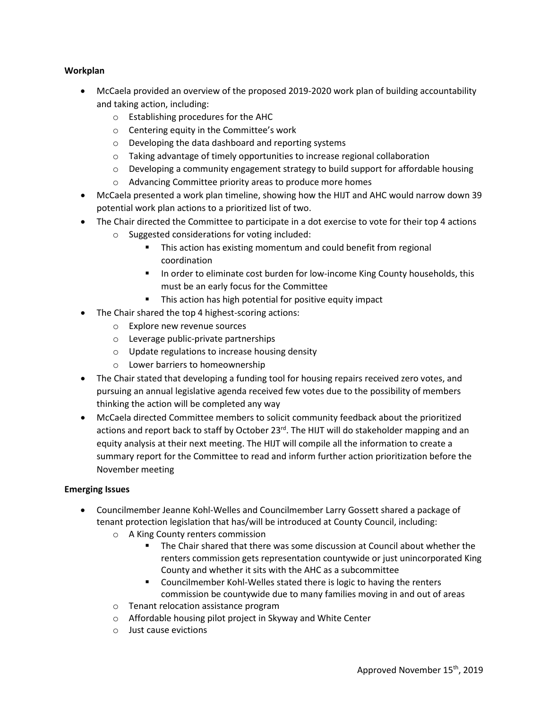#### **Workplan**

- McCaela provided an overview of the proposed 2019-2020 work plan of building accountability and taking action, including:
	- o Establishing procedures for the AHC
	- o Centering equity in the Committee's work
	- o Developing the data dashboard and reporting systems
	- $\circ$  Taking advantage of timely opportunities to increase regional collaboration
	- $\circ$  Developing a community engagement strategy to build support for affordable housing
	- o Advancing Committee priority areas to produce more homes
- McCaela presented a work plan timeline, showing how the HIJT and AHC would narrow down 39 potential work plan actions to a prioritized list of two.
- The Chair directed the Committee to participate in a dot exercise to vote for their top 4 actions
	- o Suggested considerations for voting included:
		- **This action has existing momentum and could benefit from regional** coordination
		- **IF** In order to eliminate cost burden for low-income King County households, this must be an early focus for the Committee
		- **This action has high potential for positive equity impact**
- The Chair shared the top 4 highest-scoring actions:
	- o Explore new revenue sources
	- o Leverage public-private partnerships
	- o Update regulations to increase housing density
	- o Lower barriers to homeownership
- The Chair stated that developing a funding tool for housing repairs received zero votes, and pursuing an annual legislative agenda received few votes due to the possibility of members thinking the action will be completed any way
- McCaela directed Committee members to solicit community feedback about the prioritized actions and report back to staff by October 23 $^{rd}$ . The HIJT will do stakeholder mapping and an equity analysis at their next meeting. The HIJT will compile all the information to create a summary report for the Committee to read and inform further action prioritization before the November meeting

#### **Emerging Issues**

- Councilmember Jeanne Kohl-Welles and Councilmember Larry Gossett shared a package of tenant protection legislation that has/will be introduced at County Council, including:
	- o A King County renters commission
		- The Chair shared that there was some discussion at Council about whether the renters commission gets representation countywide or just unincorporated King County and whether it sits with the AHC as a subcommittee
		- **EXECOUNCIMED EXECTS** Councilmember Kohl-Welles stated there is logic to having the renters commission be countywide due to many families moving in and out of areas
	- o Tenant relocation assistance program
	- o Affordable housing pilot project in Skyway and White Center
	- o Just cause evictions